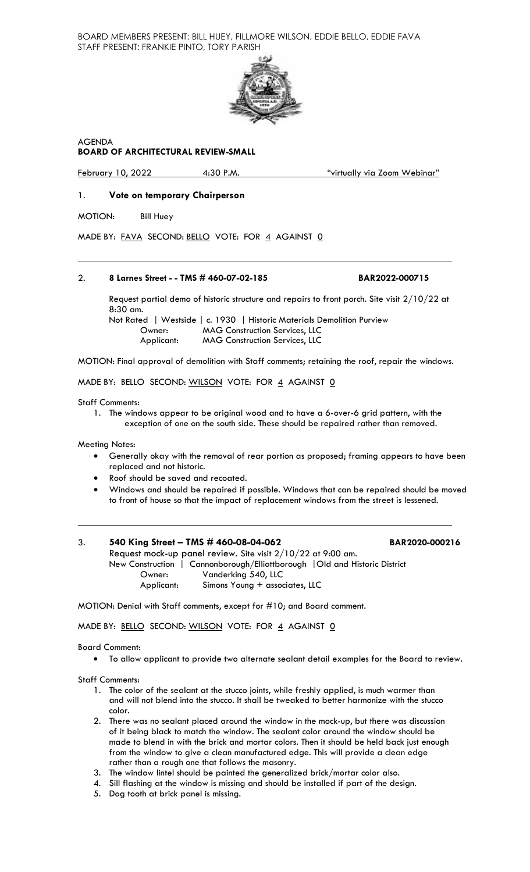BOARD MEMBERS PRESENT: BILL HUEY, FILLMORE WILSON, EDDIE BELLO, EDDIE FAVA STAFF PRESENT: FRANKIE PINTO, TORY PARISH



AGENDA

## **BOARD OF ARCHITECTURAL REVIEW-SMALL**

February 10, 2022 4:30 P.M. "virtually via Zoom Webinar"

## 1. **Vote on temporary Chairperson**

MOTION: Bill Huey

MADE BY: FAVA SECOND: BELLO VOTE: FOR 4 AGAINST 0

#### 2. **8 Larnes Street - - TMS # 460-07-02-185 BAR2022-000715**

Request partial demo of historic structure and repairs to front porch. Site visit 2/10/22 at 8:30 am.

Not Rated | Westside | c. 1930 | Historic Materials Demolition Purview Owner: MAG Construction Services, LLC **MAG Construction Services, LLC** 

MOTION: Final approval of demolition with Staff comments; retaining the roof, repair the windows.

MADE BY: BELLO SECOND: WILSON VOTE: FOR 4 AGAINST 0

Staff Comments:

1. The windows appear to be original wood and to have a 6-over-6 grid pattern, with the exception of one on the south side. These should be repaired rather than removed.

Meeting Notes:

- Generally okay with the removal of rear portion as proposed; framing appears to have been replaced and not historic.
- Roof should be saved and recoated.
- Windows and should be repaired if possible. Windows that can be repaired should be moved to front of house so that the impact of replacement windows from the street is lessened.

# 3. **540 King Street – TMS # 460-08-04-062 BAR2020-000216** Request mock-up panel review. Site visit 2/10/22 at 9:00 am. New Construction | Cannonborough/Elliottborough |Old and Historic District

Owner: Vanderking 540, LLC<br>Applicant: Simons Young + assoc Simons Young + associates, LLC

MOTION: Denial with Staff comments, except for #10; and Board comment.

MADE BY: BELLO SECOND: WILSON VOTE: FOR 4 AGAINST 0

#### Board Comment:

• To allow applicant to provide two alternate sealant detail examples for the Board to review.

Staff Comments:

- 1. The color of the sealant at the stucco joints, while freshly applied, is much warmer than and will not blend into the stucco. It shall be tweaked to better harmonize with the stucco color.
- 2. There was no sealant placed around the window in the mock-up, but there was discussion of it being black to match the window. The sealant color around the window should be made to blend in with the brick and mortar colors. Then it should be held back just enough from the window to give a clean manufactured edge. This will provide a clean edge rather than a rough one that follows the masonry.
- 3. The window lintel should be painted the generalized brick/mortar color also.
- 4. Sill flashing at the window is missing and should be installed if part of the design.
- 5. Dog tooth at brick panel is missing.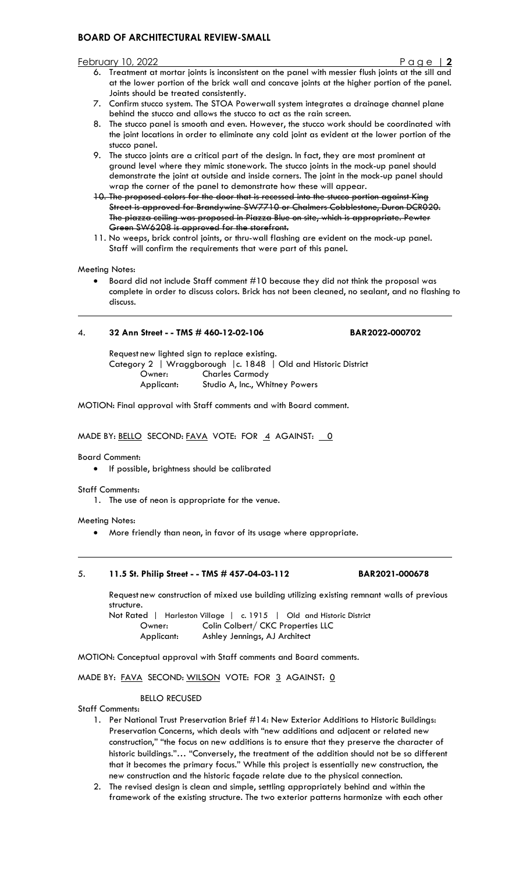#### February 10, 2022 Page | **2**

- 6. Treatment at mortar joints is inconsistent on the panel with messier flush joints at the sill and at the lower portion of the brick wall and concave joints at the higher portion of the panel. Joints should be treated consistently.
- 7. Confirm stucco system. The STOA Powerwall system integrates a drainage channel plane behind the stucco and allows the stucco to act as the rain screen.
- 8. The stucco panel is smooth and even. However, the stucco work should be coordinated with the joint locations in order to eliminate any cold joint as evident at the lower portion of the stucco panel.
- 9. The stucco joints are a critical part of the design. In fact, they are most prominent at ground level where they mimic stonework. The stucco joints in the mock-up panel should demonstrate the joint at outside and inside corners. The joint in the mock-up panel should wrap the corner of the panel to demonstrate how these will appear.
- 10. The proposed colors for the door that is recessed into the stucco portion against King Street is approved for Brandywine SW7710 or Chalmers Cobblestone, Duron DCR020. The piazza ceiling was proposed in Piazza Blue on site, which is appropriate. Pewter Green SW6208 is approved for the storefront.
- 11. No weeps, brick control joints, or thru-wall flashing are evident on the mock-up panel. Staff will confirm the requirements that were part of this panel.

Meeting Notes:

• Board did not include Staff comment #10 because they did not think the proposal was complete in order to discuss colors. Brick has not been cleaned, no sealant, and no flashing to discuss.

## 4. **32 Ann Street - - TMS # 460-12-02-106 BAR2022-000702**

Request new lighted sign to replace existing. Category 2 | Wraggborough |c. 1848 | Old and Historic District Owner: Charles Carmody<br>
Applicant: Studio A, Inc., Wh Studio A, Inc., Whitney Powers

MOTION: Final approval with Staff comments and with Board comment.

MADE BY: BELLO SECOND: FAVA VOTE: FOR 4 AGAINST: 0

Board Comment:

• If possible, brightness should be calibrated

Staff Comments:

1. The use of neon is appropriate for the venue.

Meeting Notes:

• More friendly than neon, in favor of its usage where appropriate.

#### 5. **11.5 St. Philip Street - - TMS # 457-04-03-112 BAR2021-000678**

Request new construction of mixed use building utilizing existing remnant walls of previous structure.

Not Rated | Harleston Village | c. 1915 | Old and Historic District Owner: Colin Colbert/ CKC Properties LLC Applicant: Ashley Jennings, AJ Architect

MOTION: Conceptual approval with Staff comments and Board comments.

MADE BY: FAVA SECOND: WILSON VOTE: FOR 3 AGAINST: 0

# BELLO RECUSED

Staff Comments:

- 1. Per National Trust Preservation Brief #14: New Exterior Additions to Historic Buildings: Preservation Concerns, which deals with "new additions and adjacent or related new construction," "the focus on new additions is to ensure that they preserve the character of historic buildings."… "Conversely, the treatment of the addition should not be so different that it becomes the primary focus." While this project is essentially new construction, the new construction and the historic façade relate due to the physical connection.
- 2. The revised design is clean and simple, settling appropriately behind and within the framework of the existing structure. The two exterior patterns harmonize with each other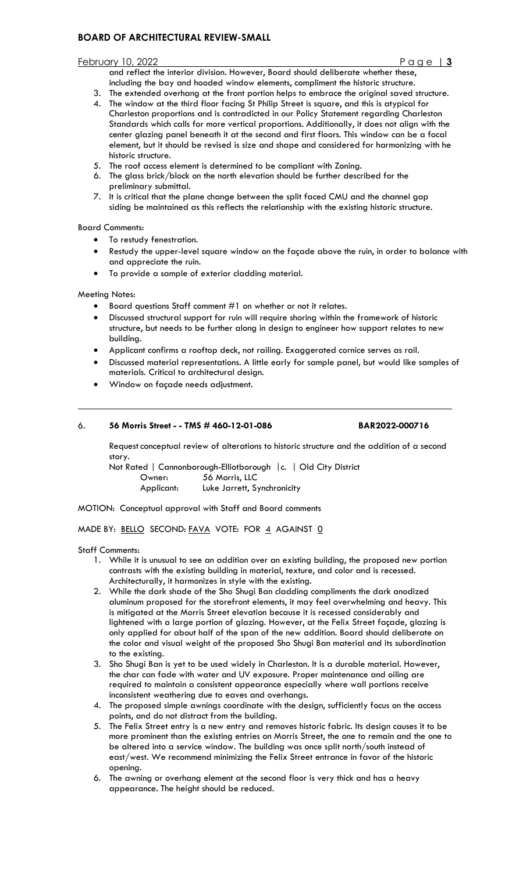#### February 10, 2022 Page | **3**

and reflect the interior division. However, Board should deliberate whether these, including the bay and hooded window elements, compliment the historic structure.

- 3. The extended overhang at the front portion helps to embrace the original saved structure.
- 4. The window at the third floor facing St Philip Street is square, and this is atypical for Charleston proportions and is contradicted in our Policy Statement regarding Charleston Standards which calls for more vertical proportions. Additionally, it does not align with the center glazing panel beneath it at the second and first floors. This window can be a focal element, but it should be revised is size and shape and considered for harmonizing with he historic structure.
- 5. The roof access element is determined to be compliant with Zoning.
- 6. The glass brick/block on the north elevation should be further described for the preliminary submittal.
- 7. It is critical that the plane change between the split faced CMU and the channel gap siding be maintained as this reflects the relationship with the existing historic structure.

## Board Comments:

- To restudy fenestration.
- Restudy the upper-level square window on the façade above the ruin, in order to balance with and appreciate the ruin.
- To provide a sample of exterior cladding material.

## Meeting Notes:

- Board questions Staff comment #1 on whether or not it relates.
- Discussed structural support for ruin will require shoring within the framework of historic structure, but needs to be further along in design to engineer how support relates to new building.
- Applicant confirms a rooftop deck, not railing. Exaggerated cornice serves as rail.
- Discussed material representations. A little early for sample panel, but would like samples of materials. Critical to architectural design.
- Window on façade needs adjustment.

## 6. **56 Morris Street - - TMS # 460-12-01-086 BAR2022-000716**

Request conceptual review of alterations to historic structure and the addition of a second story.

Not Rated | Cannonborough-Elliotborough | c. | Old City District Owner: 56 Morris, LLC Applicant: Luke Jarrett, Synchronicity

MOTION: Conceptual approval with Staff and Board comments

MADE BY: BELLO SECOND: FAVA VOTE: FOR 4 AGAINST 0

Staff Comments:

- 1. While it is unusual to see an addition over an existing building, the proposed new portion contrasts with the existing building in material, texture, and color and is recessed. Architecturally, it harmonizes in style with the existing.
- 2. While the dark shade of the Sho Shugi Ban cladding compliments the dark anodized aluminum proposed for the storefront elements, it may feel overwhelming and heavy. This is mitigated at the Morris Street elevation because it is recessed considerably and lightened with a large portion of glazing. However, at the Felix Street façade, glazing is only applied for about half of the span of the new addition. Board should deliberate on the color and visual weight of the proposed Sho Shugi Ban material and its subordination to the existing.
- 3. Sho Shugi Ban is yet to be used widely in Charleston. It is a durable material. However, the char can fade with water and UV exposure. Proper maintenance and oiling are required to maintain a consistent appearance especially where wall portions receive inconsistent weathering due to eaves and overhangs.
- 4. The proposed simple awnings coordinate with the design, sufficiently focus on the access points, and do not distract from the building.
- 5. The Felix Street entry is a new entry and removes historic fabric. Its design causes it to be more prominent than the existing entries on Morris Street, the one to remain and the one to be altered into a service window. The building was once split north/south instead of east/west. We recommend minimizing the Felix Street entrance in favor of the historic opening.
- 6. The awning or overhang element at the second floor is very thick and has a heavy appearance. The height should be reduced.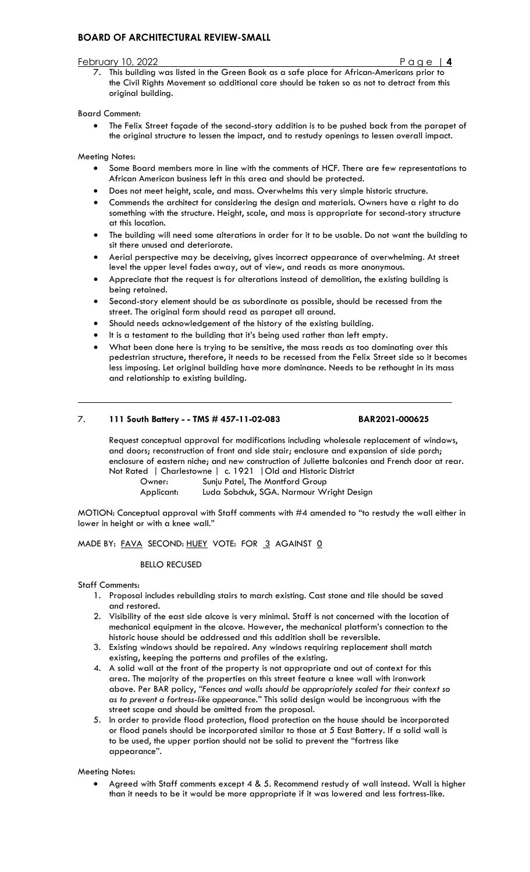#### February 10, 2022

7. This building was listed in the Green Book as a safe place for African-Americans prior to the Civil Rights Movement so additional care should be taken so as not to detract from this original building.

## Board Comment:

• The Felix Street façade of the second-story addition is to be pushed back from the parapet of the original structure to lessen the impact, and to restudy openings to lessen overall impact.

Meeting Notes:

- Some Board members more in line with the comments of HCF. There are few representations to African American business left in this area and should be protected.
- Does not meet height, scale, and mass. Overwhelms this very simple historic structure.
- Commends the architect for considering the design and materials. Owners have a right to do something with the structure. Height, scale, and mass is appropriate for second-story structure at this location.
- The building will need some alterations in order for it to be usable. Do not want the building to sit there unused and deteriorate.
- Aerial perspective may be deceiving, gives incorrect appearance of overwhelming. At street level the upper level fades away, out of view, and reads as more anonymous.
- Appreciate that the request is for alterations instead of demolition, the existing building is being retained.
- Second-story element should be as subordinate as possible, should be recessed from the street. The original form should read as parapet all around.
- Should needs acknowledgement of the history of the existing building.
- It is a testament to the building that it's being used rather than left empty.
- What been done here is trying to be sensitive, the mass reads as too dominating over this pedestrian structure, therefore, it needs to be recessed from the Felix Street side so it becomes less imposing. Let original building have more dominance. Needs to be rethought in its mass and relationship to existing building.

## 7. **111 South Battery - - TMS # 457-11-02-083 BAR2021-000625**

Request conceptual approval for modifications including wholesale replacement of windows, and doors; reconstruction of front and side stair; enclosure and expansion of side porch; enclosure of eastern niche; and new construction of Juliette balconies and French door at rear. Not Rated | Charlestowne | c. 1921 |Old and Historic District

Owner: Sunju Patel, The Montford Group<br>Applicant: Luda Sobchuk, SGA. Narmour W

Luda Sobchuk, SGA. Narmour Wright Design

MOTION: Conceptual approval with Staff comments with #4 amended to "to restudy the wall either in lower in height or with a knee wall."

MADE BY: FAVA SECOND: HUEY VOTE: FOR 3 AGAINST 0

#### BELLO RECUSED

Staff Comments:

- 1. Proposal includes rebuilding stairs to march existing. Cast stone and tile should be saved and restored.
- 2. Visibility of the east side alcove is very minimal. Staff is not concerned with the location of mechanical equipment in the alcove. However, the mechanical platform's connection to the historic house should be addressed and this addition shall be reversible.
- 3. Existing windows should be repaired. Any windows requiring replacement shall match existing, keeping the patterns and profiles of the existing.
- 4. A solid wall at the front of the property is not appropriate and out of context for this area. The majority of the properties on this street feature a knee wall with ironwork above. Per BAR policy, *"Fences and walls should be appropriately scaled for their context so as to prevent a fortress-like appearance."* This solid design would be incongruous with the street scape and should be omitted from the proposal.
- 5. In order to provide flood protection, flood protection on the house should be incorporated or flood panels should be incorporated similar to those at 5 East Battery. If a solid wall is to be used, the upper portion should not be solid to prevent the "fortress like appearance".

Meeting Notes:

• Agreed with Staff comments except 4 & 5. Recommend restudy of wall instead. Wall is higher than it needs to be it would be more appropriate if it was lowered and less fortress-like.